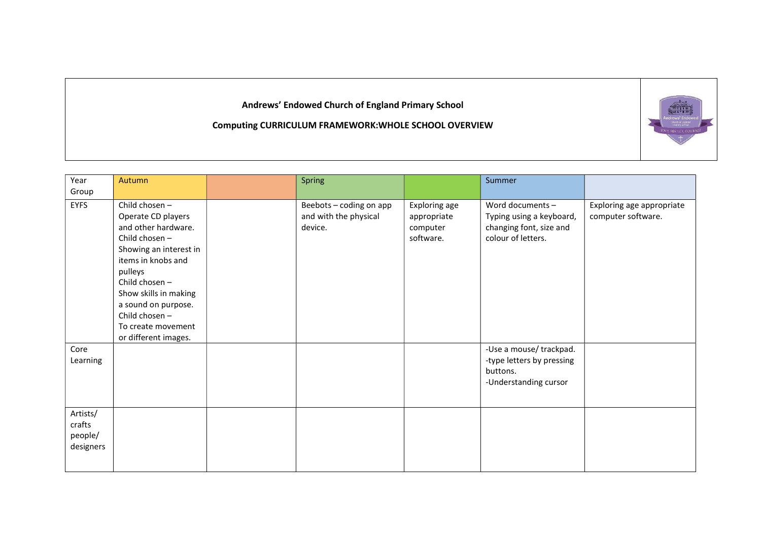## Andrews' Endowed Church of England Primary School

## Computing CURRICULUM FRAMEWORK:WHOLE SCHOOL OVERVIEW

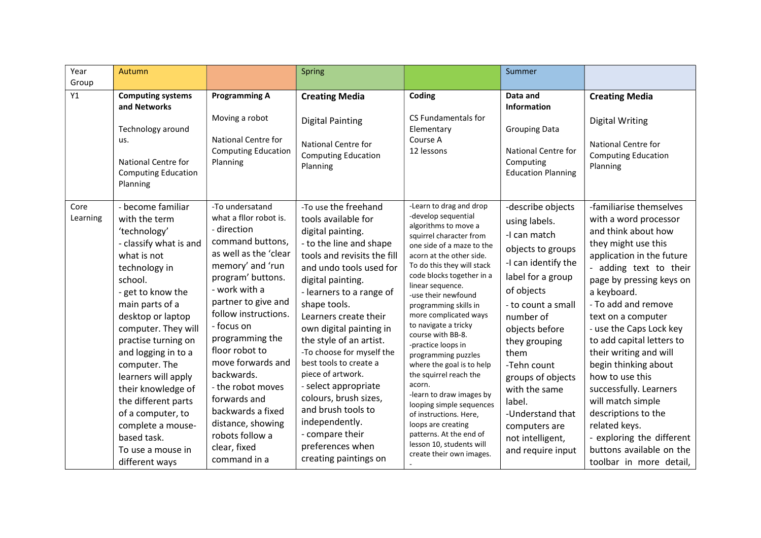| Year             | Autumn                                                                                                                                                                                                                                                                                                                                                                                                                                         |                                                                                                                                                                                                                                                                                                                                                                                                                                        | Spring                                                                                                                                                                                                                                                                                                                                                                                                                                                                                                                                     |                                                                                                                                                                                                                                                                                                                                                                                                                                                                                                                                                                                                                                                                          | Summer                                                                                                                                                                                                                                                                                                                                                       |                                                                                                                                                                                                                                                                                                                                                                                                                                                                                                                                                       |
|------------------|------------------------------------------------------------------------------------------------------------------------------------------------------------------------------------------------------------------------------------------------------------------------------------------------------------------------------------------------------------------------------------------------------------------------------------------------|----------------------------------------------------------------------------------------------------------------------------------------------------------------------------------------------------------------------------------------------------------------------------------------------------------------------------------------------------------------------------------------------------------------------------------------|--------------------------------------------------------------------------------------------------------------------------------------------------------------------------------------------------------------------------------------------------------------------------------------------------------------------------------------------------------------------------------------------------------------------------------------------------------------------------------------------------------------------------------------------|--------------------------------------------------------------------------------------------------------------------------------------------------------------------------------------------------------------------------------------------------------------------------------------------------------------------------------------------------------------------------------------------------------------------------------------------------------------------------------------------------------------------------------------------------------------------------------------------------------------------------------------------------------------------------|--------------------------------------------------------------------------------------------------------------------------------------------------------------------------------------------------------------------------------------------------------------------------------------------------------------------------------------------------------------|-------------------------------------------------------------------------------------------------------------------------------------------------------------------------------------------------------------------------------------------------------------------------------------------------------------------------------------------------------------------------------------------------------------------------------------------------------------------------------------------------------------------------------------------------------|
| Group            |                                                                                                                                                                                                                                                                                                                                                                                                                                                |                                                                                                                                                                                                                                                                                                                                                                                                                                        |                                                                                                                                                                                                                                                                                                                                                                                                                                                                                                                                            |                                                                                                                                                                                                                                                                                                                                                                                                                                                                                                                                                                                                                                                                          |                                                                                                                                                                                                                                                                                                                                                              |                                                                                                                                                                                                                                                                                                                                                                                                                                                                                                                                                       |
| Y1               | <b>Computing systems</b><br>and Networks<br>Technology around<br>us.<br>National Centre for<br><b>Computing Education</b><br>Planning                                                                                                                                                                                                                                                                                                          | <b>Programming A</b><br>Moving a robot<br>National Centre for<br><b>Computing Education</b><br>Planning                                                                                                                                                                                                                                                                                                                                | <b>Creating Media</b><br><b>Digital Painting</b><br>National Centre for<br><b>Computing Education</b><br>Planning                                                                                                                                                                                                                                                                                                                                                                                                                          | Coding<br>CS Fundamentals for<br>Elementary<br>Course A<br>12 lessons                                                                                                                                                                                                                                                                                                                                                                                                                                                                                                                                                                                                    | Data and<br><b>Information</b><br><b>Grouping Data</b><br>National Centre for<br>Computing<br><b>Education Planning</b>                                                                                                                                                                                                                                      | <b>Creating Media</b><br><b>Digital Writing</b><br>National Centre for<br><b>Computing Education</b><br>Planning                                                                                                                                                                                                                                                                                                                                                                                                                                      |
| Core<br>Learning | - become familiar<br>with the term<br>'technology'<br>- classify what is and<br>what is not<br>technology in<br>school.<br>- get to know the<br>main parts of a<br>desktop or laptop<br>computer. They will<br>practise turning on<br>and logging in to a<br>computer. The<br>learners will apply<br>their knowledge of<br>the different parts<br>of a computer, to<br>complete a mouse-<br>based task.<br>To use a mouse in<br>different ways | -To undersatand<br>what a fllor robot is.<br>- direction<br>command buttons,<br>as well as the 'clear<br>memory' and 'run<br>program' buttons.<br>- work with a<br>partner to give and<br>follow instructions.<br>- focus on<br>programming the<br>floor robot to<br>move forwards and<br>backwards.<br>- the robot moves<br>forwards and<br>backwards a fixed<br>distance, showing<br>robots follow a<br>clear, fixed<br>command in a | -To use the freehand<br>tools available for<br>digital painting.<br>- to the line and shape<br>tools and revisits the fill<br>and undo tools used for<br>digital painting.<br>- learners to a range of<br>shape tools.<br>Learners create their<br>own digital painting in<br>the style of an artist.<br>-To choose for myself the<br>best tools to create a<br>piece of artwork.<br>- select appropriate<br>colours, brush sizes,<br>and brush tools to<br>independently.<br>- compare their<br>preferences when<br>creating paintings on | -Learn to drag and drop<br>-develop sequential<br>algorithms to move a<br>squirrel character from<br>one side of a maze to the<br>acorn at the other side.<br>To do this they will stack<br>code blocks together in a<br>linear sequence.<br>-use their newfound<br>programming skills in<br>more complicated ways<br>to navigate a tricky<br>course with BB-8.<br>-practice loops in<br>programming puzzles<br>where the goal is to help<br>the squirrel reach the<br>acorn.<br>-learn to draw images by<br>looping simple sequences<br>of instructions. Here,<br>loops are creating<br>patterns. At the end of<br>lesson 10, students will<br>create their own images. | -describe objects<br>using labels.<br>-I can match<br>objects to groups<br>-I can identify the<br>label for a group<br>of objects<br>- to count a small<br>number of<br>objects before<br>they grouping<br>them<br>-Tehn count<br>groups of objects<br>with the same<br>label.<br>-Understand that<br>computers are<br>not intelligent,<br>and require input | -familiarise themselves<br>with a word processor<br>and think about how<br>they might use this<br>application in the future<br>- adding text to their<br>page by pressing keys on<br>a keyboard.<br>- To add and remove<br>text on a computer<br>- use the Caps Lock key<br>to add capital letters to<br>their writing and will<br>begin thinking about<br>how to use this<br>successfully. Learners<br>will match simple<br>descriptions to the<br>related keys.<br>- exploring the different<br>buttons available on the<br>toolbar in more detail, |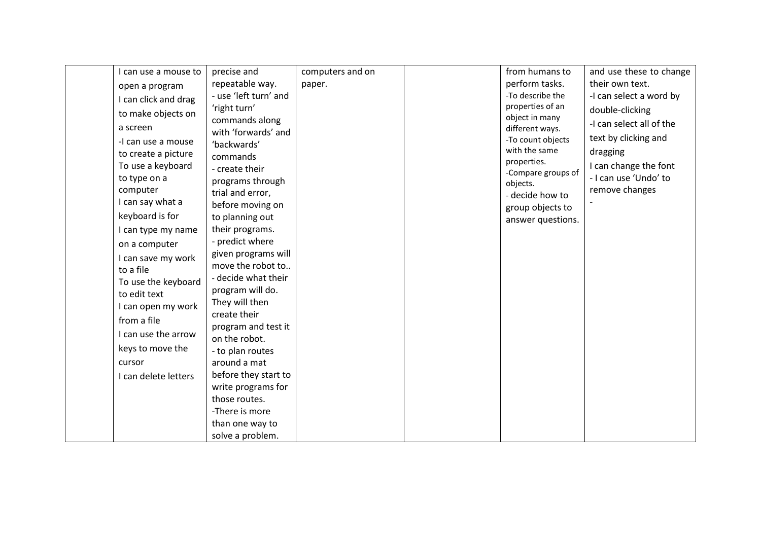| I can use a mouse to | precise and                          | computers and on | from humans to                       | and use these to change  |
|----------------------|--------------------------------------|------------------|--------------------------------------|--------------------------|
| open a program       | repeatable way.                      | paper.           | perform tasks.                       | their own text.          |
| I can click and drag | - use 'left turn' and                |                  | -To describe the                     | -I can select a word by  |
| to make objects on   | 'right turn'                         |                  | properties of an                     | double-clicking          |
|                      | commands along                       |                  | object in many                       | -I can select all of the |
| a screen             | with 'forwards' and                  |                  | different ways.<br>-To count objects | text by clicking and     |
| -I can use a mouse   | 'backwards'                          |                  | with the same                        |                          |
| to create a picture  | commands                             |                  | properties.                          | dragging                 |
| To use a keyboard    | - create their                       |                  | -Compare groups of                   | I can change the font    |
| to type on a         | programs through                     |                  | objects.                             | - I can use 'Undo' to    |
| computer             | trial and error,                     |                  | - decide how to                      | remove changes           |
| I can say what a     | before moving on                     |                  | group objects to                     |                          |
| keyboard is for      | to planning out                      |                  | answer questions.                    |                          |
| I can type my name   | their programs.                      |                  |                                      |                          |
| on a computer        | - predict where                      |                  |                                      |                          |
| I can save my work   | given programs will                  |                  |                                      |                          |
| to a file            | move the robot to                    |                  |                                      |                          |
| To use the keyboard  | - decide what their                  |                  |                                      |                          |
| to edit text         | program will do.                     |                  |                                      |                          |
| I can open my work   | They will then                       |                  |                                      |                          |
| from a file          | create their                         |                  |                                      |                          |
| I can use the arrow  | program and test it<br>on the robot. |                  |                                      |                          |
| keys to move the     | - to plan routes                     |                  |                                      |                          |
| cursor               | around a mat                         |                  |                                      |                          |
| I can delete letters | before they start to                 |                  |                                      |                          |
|                      | write programs for                   |                  |                                      |                          |
|                      | those routes.                        |                  |                                      |                          |
|                      | -There is more                       |                  |                                      |                          |
|                      | than one way to                      |                  |                                      |                          |
|                      | solve a problem.                     |                  |                                      |                          |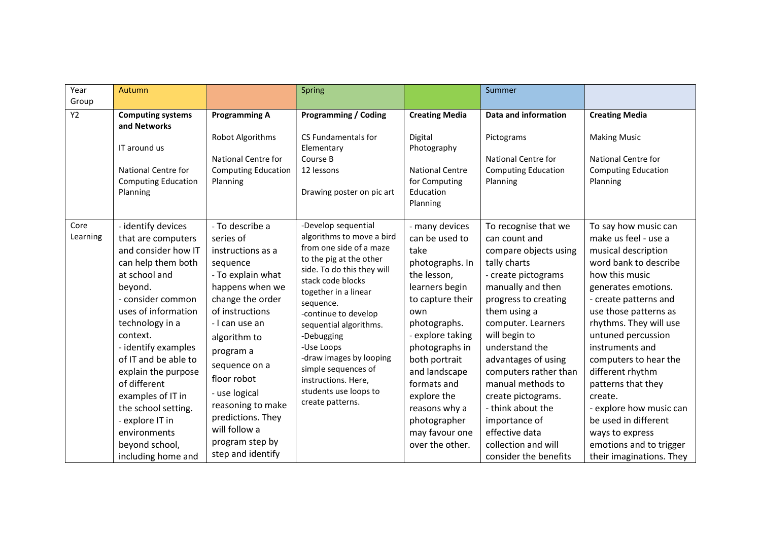| Year             | Autumn                                                                                                                                                                                                                                                                                                                                                                                                    |                                                                                                                                                                                                                                                                                                                                                 | Spring                                                                                                                                                                                                                                                                                                                                                                                             |                                                                                                                                                                                                                                                                                                                     | Summer                                                                                                                                                                                                                                                                                                                                                                                                                         |                                                                                                                                                                                                                                                                                                                                                                                                                                                                       |
|------------------|-----------------------------------------------------------------------------------------------------------------------------------------------------------------------------------------------------------------------------------------------------------------------------------------------------------------------------------------------------------------------------------------------------------|-------------------------------------------------------------------------------------------------------------------------------------------------------------------------------------------------------------------------------------------------------------------------------------------------------------------------------------------------|----------------------------------------------------------------------------------------------------------------------------------------------------------------------------------------------------------------------------------------------------------------------------------------------------------------------------------------------------------------------------------------------------|---------------------------------------------------------------------------------------------------------------------------------------------------------------------------------------------------------------------------------------------------------------------------------------------------------------------|--------------------------------------------------------------------------------------------------------------------------------------------------------------------------------------------------------------------------------------------------------------------------------------------------------------------------------------------------------------------------------------------------------------------------------|-----------------------------------------------------------------------------------------------------------------------------------------------------------------------------------------------------------------------------------------------------------------------------------------------------------------------------------------------------------------------------------------------------------------------------------------------------------------------|
| Group            |                                                                                                                                                                                                                                                                                                                                                                                                           |                                                                                                                                                                                                                                                                                                                                                 |                                                                                                                                                                                                                                                                                                                                                                                                    |                                                                                                                                                                                                                                                                                                                     |                                                                                                                                                                                                                                                                                                                                                                                                                                |                                                                                                                                                                                                                                                                                                                                                                                                                                                                       |
| Y2               | <b>Computing systems</b><br>and Networks<br>IT around us                                                                                                                                                                                                                                                                                                                                                  | <b>Programming A</b><br>Robot Algorithms<br>National Centre for                                                                                                                                                                                                                                                                                 | <b>Programming / Coding</b><br>CS Fundamentals for<br>Elementary<br>Course B                                                                                                                                                                                                                                                                                                                       | <b>Creating Media</b><br>Digital<br>Photography                                                                                                                                                                                                                                                                     | Data and information<br>Pictograms<br>National Centre for                                                                                                                                                                                                                                                                                                                                                                      | <b>Creating Media</b><br><b>Making Music</b><br>National Centre for                                                                                                                                                                                                                                                                                                                                                                                                   |
|                  | National Centre for<br><b>Computing Education</b><br>Planning                                                                                                                                                                                                                                                                                                                                             | <b>Computing Education</b><br>Planning                                                                                                                                                                                                                                                                                                          | 12 lessons<br>Drawing poster on pic art                                                                                                                                                                                                                                                                                                                                                            | <b>National Centre</b><br>for Computing<br>Education<br>Planning                                                                                                                                                                                                                                                    | <b>Computing Education</b><br>Planning                                                                                                                                                                                                                                                                                                                                                                                         | <b>Computing Education</b><br>Planning                                                                                                                                                                                                                                                                                                                                                                                                                                |
| Core<br>Learning | - identify devices<br>that are computers<br>and consider how IT<br>can help them both<br>at school and<br>beyond.<br>- consider common<br>uses of information<br>technology in a<br>context.<br>- identify examples<br>of IT and be able to<br>explain the purpose<br>of different<br>examples of IT in<br>the school setting.<br>- explore IT in<br>environments<br>beyond school,<br>including home and | - To describe a<br>series of<br>instructions as a<br>sequence<br>- To explain what<br>happens when we<br>change the order<br>of instructions<br>- I can use an<br>algorithm to<br>program a<br>sequence on a<br>floor robot<br>- use logical<br>reasoning to make<br>predictions. They<br>will follow a<br>program step by<br>step and identify | -Develop sequential<br>algorithms to move a bird<br>from one side of a maze<br>to the pig at the other<br>side. To do this they will<br>stack code blocks<br>together in a linear<br>sequence.<br>-continue to develop<br>sequential algorithms.<br>-Debugging<br>-Use Loops<br>-draw images by looping<br>simple sequences of<br>instructions. Here,<br>students use loops to<br>create patterns. | - many devices<br>can be used to<br>take<br>photographs. In<br>the lesson,<br>learners begin<br>to capture their<br>own<br>photographs.<br>- explore taking<br>photographs in<br>both portrait<br>and landscape<br>formats and<br>explore the<br>reasons why a<br>photographer<br>may favour one<br>over the other. | To recognise that we<br>can count and<br>compare objects using<br>tally charts<br>- create pictograms<br>manually and then<br>progress to creating<br>them using a<br>computer. Learners<br>will begin to<br>understand the<br>advantages of using<br>computers rather than<br>manual methods to<br>create pictograms.<br>- think about the<br>importance of<br>effective data<br>collection and will<br>consider the benefits | To say how music can<br>make us feel - use a<br>musical description<br>word bank to describe<br>how this music<br>generates emotions.<br>- create patterns and<br>use those patterns as<br>rhythms. They will use<br>untuned percussion<br>instruments and<br>computers to hear the<br>different rhythm<br>patterns that they<br>create.<br>- explore how music can<br>be used in different<br>ways to express<br>emotions and to trigger<br>their imaginations. They |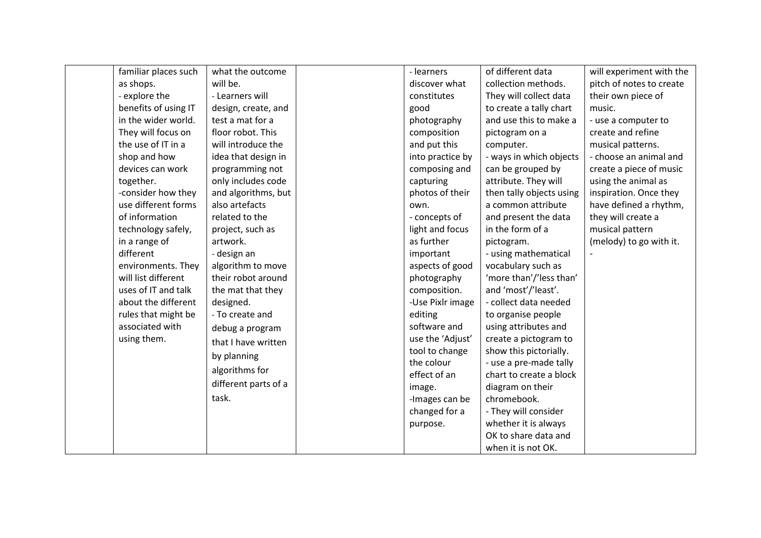| familiar places such | what the outcome     | - learners       | of different data        | will experiment with the |
|----------------------|----------------------|------------------|--------------------------|--------------------------|
| as shops.            | will be.             | discover what    | collection methods.      | pitch of notes to create |
| - explore the        | - Learners will      | constitutes      | They will collect data   | their own piece of       |
| benefits of using IT | design, create, and  | good             | to create a tally chart  | music.                   |
| in the wider world.  | test a mat for a     | photography      | and use this to make a   | - use a computer to      |
| They will focus on   | floor robot. This    | composition      | pictogram on a           | create and refine        |
| the use of IT in a   | will introduce the   | and put this     | computer.                | musical patterns.        |
| shop and how         | idea that design in  | into practice by | - ways in which objects  | - choose an animal and   |
| devices can work     | programming not      | composing and    | can be grouped by        | create a piece of music  |
| together.            | only includes code   | capturing        | attribute. They will     | using the animal as      |
| -consider how they   | and algorithms, but  | photos of their  | then tally objects using | inspiration. Once they   |
| use different forms  | also artefacts       | own.             | a common attribute       | have defined a rhythm,   |
| of information       | related to the       | - concepts of    | and present the data     | they will create a       |
| technology safely,   | project, such as     | light and focus  | in the form of a         | musical pattern          |
| in a range of        | artwork.             | as further       | pictogram.               | (melody) to go with it.  |
| different            | - design an          | important        | - using mathematical     |                          |
| environments. They   | algorithm to move    | aspects of good  | vocabulary such as       |                          |
| will list different  | their robot around   | photography      | 'more than'/'less than'  |                          |
| uses of IT and talk  | the mat that they    | composition.     | and 'most'/'least'.      |                          |
| about the different  | designed.            | -Use Pixlr image | - collect data needed    |                          |
| rules that might be  | - To create and      | editing          | to organise people       |                          |
| associated with      | debug a program      | software and     | using attributes and     |                          |
| using them.          | that I have written  | use the 'Adjust' | create a pictogram to    |                          |
|                      | by planning          | tool to change   | show this pictorially.   |                          |
|                      |                      | the colour       | - use a pre-made tally   |                          |
|                      | algorithms for       | effect of an     | chart to create a block  |                          |
|                      | different parts of a | image.           | diagram on their         |                          |
|                      | task.                | -Images can be   | chromebook.              |                          |
|                      |                      | changed for a    | - They will consider     |                          |
|                      |                      | purpose.         | whether it is always     |                          |
|                      |                      |                  | OK to share data and     |                          |
|                      |                      |                  | when it is not OK.       |                          |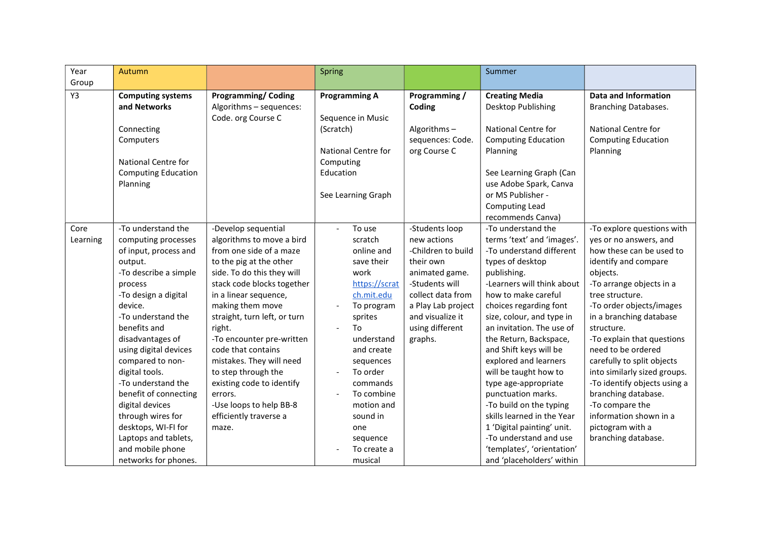| Year     | Autumn                                      |                              | Spring                       |                    | Summer                                                |                                           |
|----------|---------------------------------------------|------------------------------|------------------------------|--------------------|-------------------------------------------------------|-------------------------------------------|
| Group    |                                             |                              |                              |                    |                                                       |                                           |
| Y3       | <b>Computing systems</b>                    | <b>Programming/Coding</b>    | <b>Programming A</b>         | Programming /      | <b>Creating Media</b>                                 | <b>Data and Information</b>               |
|          | and Networks                                | Algorithms - sequences:      |                              | Coding             | Desktop Publishing                                    | Branching Databases.                      |
|          |                                             | Code. org Course C           | Sequence in Music            |                    |                                                       |                                           |
|          | Connecting                                  |                              | (Scratch)                    | Algorithms-        | National Centre for                                   | National Centre for                       |
|          | Computers                                   |                              |                              | sequences: Code.   | <b>Computing Education</b>                            | <b>Computing Education</b>                |
|          |                                             |                              | National Centre for          | org Course C       | Planning                                              | Planning                                  |
|          | National Centre for                         |                              | Computing                    |                    |                                                       |                                           |
|          | <b>Computing Education</b>                  |                              | Education                    |                    | See Learning Graph (Can                               |                                           |
|          | Planning                                    |                              |                              |                    | use Adobe Spark, Canva                                |                                           |
|          |                                             |                              | See Learning Graph           |                    | or MS Publisher -                                     |                                           |
|          |                                             |                              |                              |                    | <b>Computing Lead</b>                                 |                                           |
|          |                                             |                              |                              |                    | recommends Canva)                                     |                                           |
| Core     | -To understand the                          | -Develop sequential          | To use<br>$\blacksquare$     | -Students loop     | -To understand the                                    | -To explore questions with                |
| Learning | computing processes                         | algorithms to move a bird    | scratch                      | new actions        | terms 'text' and 'images'.                            | yes or no answers, and                    |
|          | of input, process and                       | from one side of a maze      | online and                   | -Children to build | -To understand different                              | how these can be used to                  |
|          | output.                                     | to the pig at the other      | save their                   | their own          | types of desktop                                      | identify and compare                      |
|          | -To describe a simple                       | side. To do this they will   | work                         | animated game.     | publishing.                                           | objects.                                  |
|          | process                                     | stack code blocks together   | https://scrat                | -Students will     | -Learners will think about                            | -To arrange objects in a                  |
|          | -To design a digital                        | in a linear sequence,        | ch.mit.edu                   | collect data from  | how to make careful                                   | tree structure.                           |
|          | device.                                     | making them move             | To program                   | a Play Lab project | choices regarding font                                | -To order objects/images                  |
|          | -To understand the                          | straight, turn left, or turn | sprites                      | and visualize it   | size, colour, and type in                             | in a branching database                   |
|          | benefits and                                | right.                       | To                           | using different    | an invitation. The use of                             | structure.                                |
|          | disadvantages of                            | -To encounter pre-written    | understand                   | graphs.            | the Return, Backspace,                                | -To explain that questions                |
|          | using digital devices                       | code that contains           | and create                   |                    | and Shift keys will be                                | need to be ordered                        |
|          | compared to non-                            | mistakes. They will need     | sequences                    |                    | explored and learners                                 | carefully to split objects                |
|          | digital tools.                              | to step through the          | To order<br>$\blacksquare$   |                    | will be taught how to                                 | into similarly sized groups.              |
|          | -To understand the                          | existing code to identify    | commands                     |                    | type age-appropriate                                  | -To identify objects using a              |
|          | benefit of connecting                       | errors.                      | To combine<br>$\blacksquare$ |                    | punctuation marks.                                    | branching database.                       |
|          | digital devices                             | -Use loops to help BB-8      | motion and<br>sound in       |                    | -To build on the typing<br>skills learned in the Year | -To compare the<br>information shown in a |
|          | through wires for                           | efficiently traverse a       |                              |                    |                                                       |                                           |
|          | desktops, WI-FI for<br>Laptops and tablets, | maze.                        | one                          |                    | 1 'Digital painting' unit.<br>-To understand and use  | pictogram with a<br>branching database.   |
|          | and mobile phone                            |                              | sequence<br>To create a      |                    | 'templates', 'orientation'                            |                                           |
|          |                                             |                              |                              |                    |                                                       |                                           |
|          | networks for phones.                        |                              | musical                      |                    | and 'placeholders' within                             |                                           |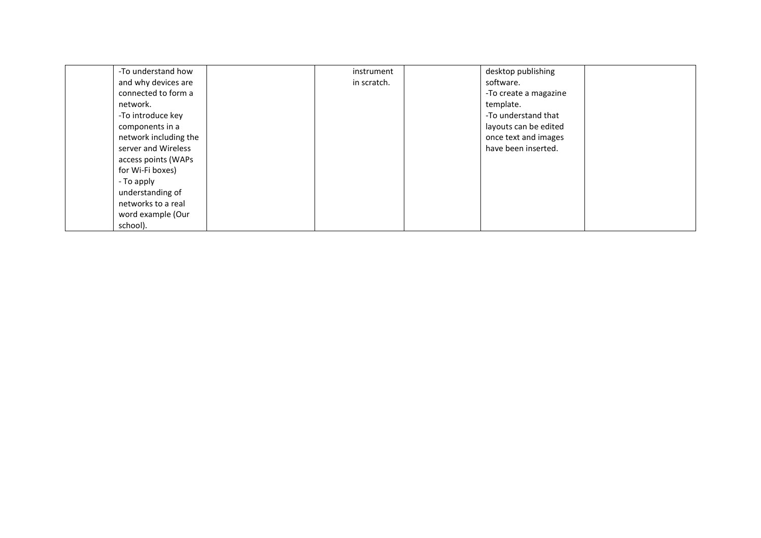| -To understand how    | instrument  | desktop publishing    |  |
|-----------------------|-------------|-----------------------|--|
| and why devices are   | in scratch. | software.             |  |
| connected to form a   |             | -To create a magazine |  |
| network.              |             | template.             |  |
| -To introduce key     |             | -To understand that   |  |
| components in a       |             | layouts can be edited |  |
| network including the |             | once text and images  |  |
| server and Wireless   |             | have been inserted.   |  |
| access points (WAPs   |             |                       |  |
| for Wi-Fi boxes)      |             |                       |  |
| - To apply            |             |                       |  |
| understanding of      |             |                       |  |
| networks to a real    |             |                       |  |
| word example (Our     |             |                       |  |
| school).              |             |                       |  |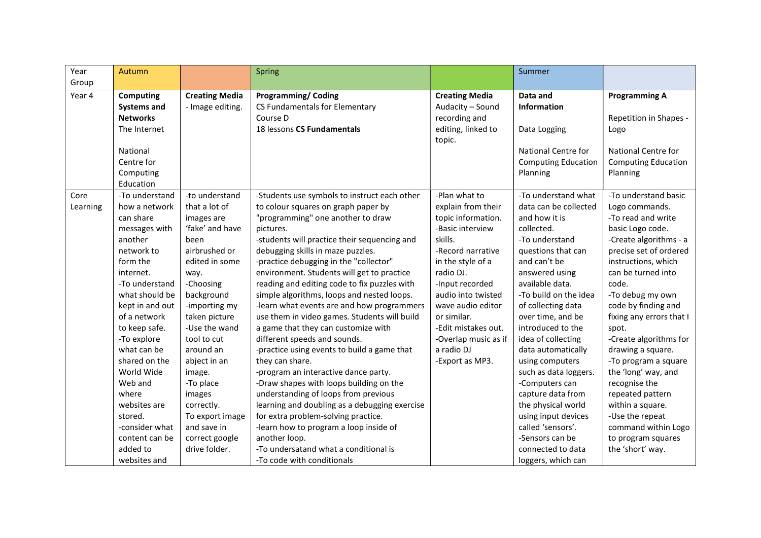| Year     | Autumn             |                       | Spring                                        |                       | Summer                     |                            |
|----------|--------------------|-----------------------|-----------------------------------------------|-----------------------|----------------------------|----------------------------|
| Group    |                    |                       |                                               |                       |                            |                            |
| Year 4   | <b>Computing</b>   | <b>Creating Media</b> | <b>Programming/Coding</b>                     | <b>Creating Media</b> | Data and                   | <b>Programming A</b>       |
|          | <b>Systems and</b> | - Image editing.      | CS Fundamentals for Elementary                | Audacity - Sound      | <b>Information</b>         |                            |
|          | <b>Networks</b>    |                       | Course D                                      | recording and         |                            | Repetition in Shapes -     |
|          | The Internet       |                       | 18 lessons CS Fundamentals                    | editing, linked to    | Data Logging               | Logo                       |
|          |                    |                       |                                               | topic.                |                            |                            |
|          | National           |                       |                                               |                       | National Centre for        | National Centre for        |
|          | Centre for         |                       |                                               |                       | <b>Computing Education</b> | <b>Computing Education</b> |
|          | Computing          |                       |                                               |                       | Planning                   | Planning                   |
|          | Education          |                       |                                               |                       |                            |                            |
| Core     | -To understand     | -to understand        | -Students use symbols to instruct each other  | -Plan what to         | -To understand what        | -To understand basic       |
| Learning | how a network      | that a lot of         | to colour squares on graph paper by           | explain from their    | data can be collected      | Logo commands.             |
|          | can share          | images are            | "programming" one another to draw             | topic information.    | and how it is              | -To read and write         |
|          | messages with      | 'fake' and have       | pictures.                                     | -Basic interview      | collected.                 | basic Logo code.           |
|          | another            | been                  | -students will practice their sequencing and  | skills.               | -To understand             | -Create algorithms - a     |
|          | network to         | airbrushed or         | debugging skills in maze puzzles.             | -Record narrative     | questions that can         | precise set of ordered     |
|          | form the           | edited in some        | -practice debugging in the "collector"        | in the style of a     | and can't be               | instructions, which        |
|          | internet.          | way.                  | environment. Students will get to practice    | radio DJ.             | answered using             | can be turned into         |
|          | -To understand     | -Choosing             | reading and editing code to fix puzzles with  | -Input recorded       | available data.            | code.                      |
|          | what should be     | background            | simple algorithms, loops and nested loops.    | audio into twisted    | -To build on the idea      | -To debug my own           |
|          | kept in and out    | -importing my         | -learn what events are and how programmers    | wave audio editor     | of collecting data         | code by finding and        |
|          | of a network       | taken picture         | use them in video games. Students will build  | or similar.           | over time, and be          | fixing any errors that I   |
|          | to keep safe.      | -Use the wand         | a game that they can customize with           | -Edit mistakes out.   | introduced to the          | spot.                      |
|          | -To explore        | tool to cut           | different speeds and sounds.                  | -Overlap music as if  | idea of collecting         | -Create algorithms for     |
|          | what can be        | around an             | -practice using events to build a game that   | a radio DJ            | data automatically         | drawing a square.          |
|          | shared on the      | abject in an          | they can share.                               | -Export as MP3.       | using computers            | -To program a square       |
|          | World Wide         | image.                | -program an interactive dance party.          |                       | such as data loggers.      | the 'long' way, and        |
|          | Web and            | -To place             | -Draw shapes with loops building on the       |                       | -Computers can             | recognise the              |
|          | where              | images                | understanding of loops from previous          |                       | capture data from          | repeated pattern           |
|          | websites are       | correctly.            | learning and doubling as a debugging exercise |                       | the physical world         | within a square.           |
|          | stored.            | To export image       | for extra problem-solving practice.           |                       | using input devices        | -Use the repeat            |
|          | -consider what     | and save in           | -learn how to program a loop inside of        |                       | called 'sensors'.          | command within Logo        |
|          | content can be     | correct google        | another loop.                                 |                       | -Sensors can be            | to program squares         |
|          | added to           | drive folder.         | -To undersatand what a conditional is         |                       | connected to data          | the 'short' way.           |
|          | websites and       |                       | -To code with conditionals                    |                       | loggers, which can         |                            |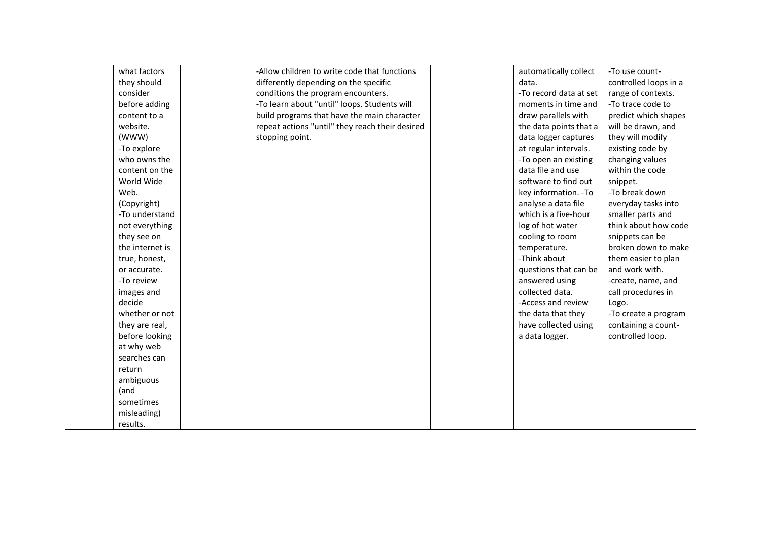| what factors    | -Allow children to write code that functions    | automatically collect  | -To use count-        |
|-----------------|-------------------------------------------------|------------------------|-----------------------|
| they should     | differently depending on the specific           | data.                  | controlled loops in a |
| consider        | conditions the program encounters.              | -To record data at set | range of contexts.    |
| before adding   | -To learn about "until" loops. Students will    | moments in time and    | -To trace code to     |
| content to a    | build programs that have the main character     | draw parallels with    | predict which shapes  |
| website.        | repeat actions "until" they reach their desired | the data points that a | will be drawn, and    |
| (WWW)           | stopping point.                                 | data logger captures   | they will modify      |
| -To explore     |                                                 | at regular intervals.  | existing code by      |
| who owns the    |                                                 | -To open an existing   | changing values       |
| content on the  |                                                 | data file and use      | within the code       |
| World Wide      |                                                 | software to find out   | snippet.              |
| Web.            |                                                 | key information. - To  | -To break down        |
| (Copyright)     |                                                 | analyse a data file    | everyday tasks into   |
| -To understand  |                                                 | which is a five-hour   | smaller parts and     |
| not everything  |                                                 | log of hot water       | think about how code  |
| they see on     |                                                 | cooling to room        | snippets can be       |
| the internet is |                                                 | temperature.           | broken down to make   |
| true, honest,   |                                                 | -Think about           | them easier to plan   |
| or accurate.    |                                                 | questions that can be  | and work with.        |
| -To review      |                                                 | answered using         | -create, name, and    |
| images and      |                                                 | collected data.        | call procedures in    |
| decide          |                                                 | -Access and review     | Logo.                 |
| whether or not  |                                                 | the data that they     | -To create a program  |
| they are real,  |                                                 | have collected using   | containing a count-   |
| before looking  |                                                 | a data logger.         | controlled loop.      |
| at why web      |                                                 |                        |                       |
| searches can    |                                                 |                        |                       |
| return          |                                                 |                        |                       |
| ambiguous       |                                                 |                        |                       |
| (and            |                                                 |                        |                       |
| sometimes       |                                                 |                        |                       |
| misleading)     |                                                 |                        |                       |
| results.        |                                                 |                        |                       |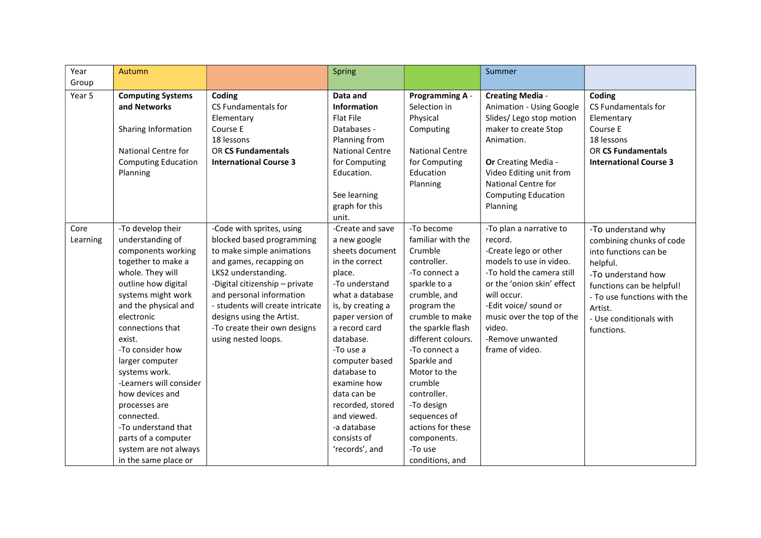| Year             | Autumn                                                                                                                                                                                                                                                                                                                                                                                                                                                     |                                                                                                                                                                                                                                                                                                                             | Spring                                                                                                                                                                                                                                                                                                                                                     |                                                                                                                                                                                                                                                                                                                                                                   | Summer                                                                                                                                                                                                                                                                  |                                                                                                                                                                                                                           |
|------------------|------------------------------------------------------------------------------------------------------------------------------------------------------------------------------------------------------------------------------------------------------------------------------------------------------------------------------------------------------------------------------------------------------------------------------------------------------------|-----------------------------------------------------------------------------------------------------------------------------------------------------------------------------------------------------------------------------------------------------------------------------------------------------------------------------|------------------------------------------------------------------------------------------------------------------------------------------------------------------------------------------------------------------------------------------------------------------------------------------------------------------------------------------------------------|-------------------------------------------------------------------------------------------------------------------------------------------------------------------------------------------------------------------------------------------------------------------------------------------------------------------------------------------------------------------|-------------------------------------------------------------------------------------------------------------------------------------------------------------------------------------------------------------------------------------------------------------------------|---------------------------------------------------------------------------------------------------------------------------------------------------------------------------------------------------------------------------|
| Group            |                                                                                                                                                                                                                                                                                                                                                                                                                                                            |                                                                                                                                                                                                                                                                                                                             |                                                                                                                                                                                                                                                                                                                                                            |                                                                                                                                                                                                                                                                                                                                                                   |                                                                                                                                                                                                                                                                         |                                                                                                                                                                                                                           |
| Year 5           | <b>Computing Systems</b><br>and Networks<br>Sharing Information<br>National Centre for<br><b>Computing Education</b><br>Planning                                                                                                                                                                                                                                                                                                                           | Coding<br>CS Fundamentals for<br>Elementary<br>Course E<br>18 lessons<br><b>OR CS Fundamentals</b><br><b>International Course 3</b>                                                                                                                                                                                         | Data and<br><b>Information</b><br>Flat File<br>Databases -<br>Planning from<br><b>National Centre</b><br>for Computing<br>Education.<br>See learning<br>graph for this<br>unit.                                                                                                                                                                            | <b>Programming A -</b><br>Selection in<br>Physical<br>Computing<br><b>National Centre</b><br>for Computing<br>Education<br>Planning                                                                                                                                                                                                                               | <b>Creating Media -</b><br>Animation - Using Google<br>Slides/ Lego stop motion<br>maker to create Stop<br>Animation.<br>Or Creating Media -<br>Video Editing unit from<br>National Centre for<br><b>Computing Education</b><br>Planning                                | Coding<br>CS Fundamentals for<br>Elementary<br>Course E<br>18 lessons<br><b>OR CS Fundamentals</b><br><b>International Course 3</b>                                                                                       |
| Core<br>Learning | -To develop their<br>understanding of<br>components working<br>together to make a<br>whole. They will<br>outline how digital<br>systems might work<br>and the physical and<br>electronic<br>connections that<br>exist.<br>-To consider how<br>larger computer<br>systems work.<br>-Learners will consider<br>how devices and<br>processes are<br>connected.<br>-To understand that<br>parts of a computer<br>system are not always<br>in the same place or | -Code with sprites, using<br>blocked based programming<br>to make simple animations<br>and games, recapping on<br>LKS2 understanding.<br>-Digital citizenship - private<br>and personal information<br>- students will create intricate<br>designs using the Artist.<br>-To create their own designs<br>using nested loops. | -Create and save<br>a new google<br>sheets document<br>in the correct<br>place.<br>-To understand<br>what a database<br>is, by creating a<br>paper version of<br>a record card<br>database.<br>-To use a<br>computer based<br>database to<br>examine how<br>data can be<br>recorded, stored<br>and viewed.<br>-a database<br>consists of<br>'records', and | -To become<br>familiar with the<br>Crumble<br>controller.<br>-To connect a<br>sparkle to a<br>crumble, and<br>program the<br>crumble to make<br>the sparkle flash<br>different colours.<br>-To connect a<br>Sparkle and<br>Motor to the<br>crumble<br>controller.<br>-To design<br>sequences of<br>actions for these<br>components.<br>-To use<br>conditions, and | -To plan a narrative to<br>record.<br>-Create lego or other<br>models to use in video.<br>-To hold the camera still<br>or the 'onion skin' effect<br>will occur.<br>-Edit voice/ sound or<br>music over the top of the<br>video.<br>-Remove unwanted<br>frame of video. | -To understand why<br>combining chunks of code<br>into functions can be<br>helpful.<br>-To understand how<br>functions can be helpful!<br>- To use functions with the<br>Artist.<br>- Use conditionals with<br>functions. |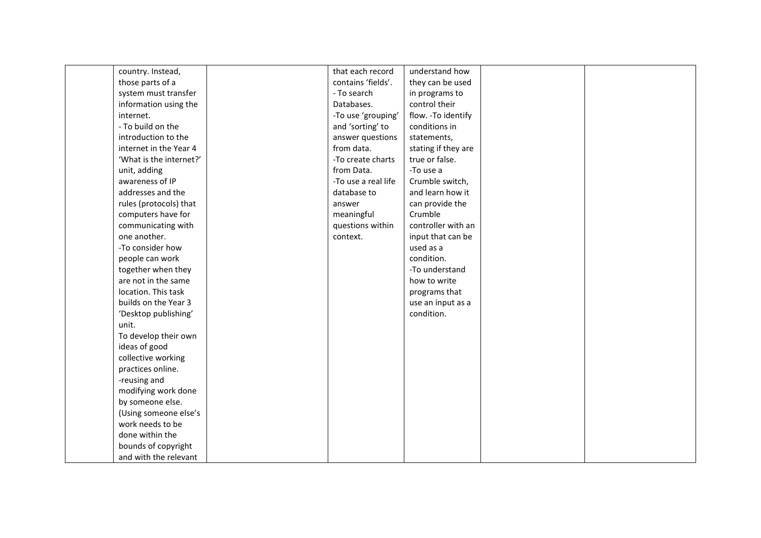| country. Instead,       | that each record    | understand how      |  |
|-------------------------|---------------------|---------------------|--|
| those parts of a        | contains 'fields'.  | they can be used    |  |
| system must transfer    | - To search         | in programs to      |  |
| information using the   | Databases.          | control their       |  |
| internet.               | -To use 'grouping'  | flow. - To identify |  |
| - To build on the       | and 'sorting' to    | conditions in       |  |
| introduction to the     | answer questions    | statements,         |  |
| internet in the Year 4  | from data.          | stating if they are |  |
| 'What is the internet?' | -To create charts   | true or false.      |  |
| unit, adding            | from Data.          | -To use a           |  |
| awareness of IP         | -To use a real life | Crumble switch,     |  |
| addresses and the       | database to         | and learn how it    |  |
| rules (protocols) that  | answer              | can provide the     |  |
| computers have for      | meaningful          | Crumble             |  |
| communicating with      | questions within    | controller with an  |  |
| one another.            | context.            | input that can be   |  |
| -To consider how        |                     | used as a           |  |
| people can work         |                     | condition.          |  |
|                         |                     |                     |  |
| together when they      |                     | -To understand      |  |
| are not in the same     |                     | how to write        |  |
| location. This task     |                     | programs that       |  |
| builds on the Year 3    |                     | use an input as a   |  |
| 'Desktop publishing'    |                     | condition.          |  |
| unit.                   |                     |                     |  |
| To develop their own    |                     |                     |  |
| ideas of good           |                     |                     |  |
| collective working      |                     |                     |  |
| practices online.       |                     |                     |  |
| -reusing and            |                     |                     |  |
| modifying work done     |                     |                     |  |
| by someone else.        |                     |                     |  |
| (Using someone else's   |                     |                     |  |
| work needs to be        |                     |                     |  |
| done within the         |                     |                     |  |
| bounds of copyright     |                     |                     |  |
| and with the relevant   |                     |                     |  |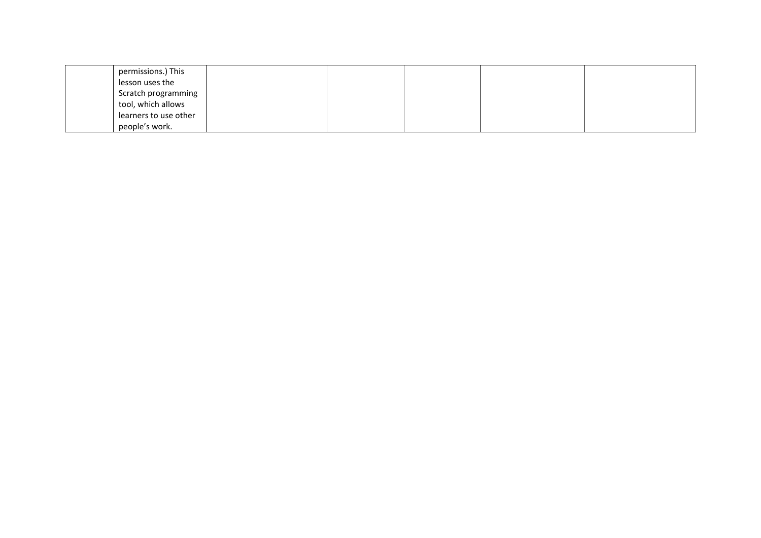| permissions.) This    |  |  |  |
|-----------------------|--|--|--|
| lesson uses the       |  |  |  |
| Scratch programming   |  |  |  |
| tool, which allows    |  |  |  |
| learners to use other |  |  |  |
| people's work.        |  |  |  |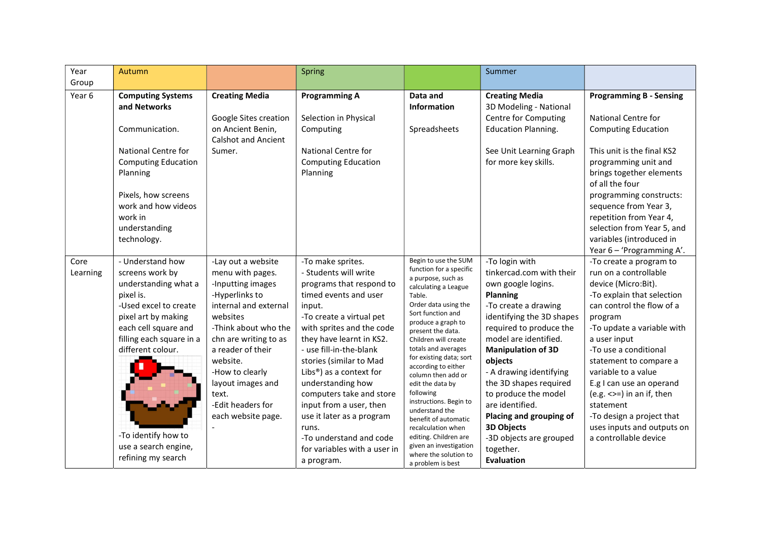| Year     | Autumn                                     |                            | Spring                               |                                                 | Summer                     |                                                  |
|----------|--------------------------------------------|----------------------------|--------------------------------------|-------------------------------------------------|----------------------------|--------------------------------------------------|
| Group    |                                            |                            |                                      |                                                 |                            |                                                  |
| Year 6   | <b>Computing Systems</b>                   | <b>Creating Media</b>      | <b>Programming A</b>                 | Data and                                        | <b>Creating Media</b>      | <b>Programming B - Sensing</b>                   |
|          | and Networks                               |                            |                                      | Information                                     | 3D Modeling - National     |                                                  |
|          |                                            | Google Sites creation      | Selection in Physical                |                                                 | Centre for Computing       | National Centre for                              |
|          | Communication.                             | on Ancient Benin,          | Computing                            | Spreadsheets                                    | <b>Education Planning.</b> | <b>Computing Education</b>                       |
|          |                                            | <b>Calshot and Ancient</b> |                                      |                                                 |                            |                                                  |
|          | National Centre for                        | Sumer.                     | National Centre for                  |                                                 | See Unit Learning Graph    | This unit is the final KS2                       |
|          | <b>Computing Education</b>                 |                            | <b>Computing Education</b>           |                                                 | for more key skills.       | programming unit and                             |
|          | Planning                                   |                            | Planning                             |                                                 |                            | brings together elements                         |
|          |                                            |                            |                                      |                                                 |                            | of all the four                                  |
|          | Pixels, how screens<br>work and how videos |                            |                                      |                                                 |                            | programming constructs:<br>sequence from Year 3, |
|          | work in                                    |                            |                                      |                                                 |                            | repetition from Year 4,                          |
|          | understanding                              |                            |                                      |                                                 |                            | selection from Year 5, and                       |
|          | technology.                                |                            |                                      |                                                 |                            | variables (introduced in                         |
|          |                                            |                            |                                      |                                                 |                            | Year 6 - 'Programming A'.                        |
| Core     | - Understand how                           | -Lay out a website         | -To make sprites.                    | Begin to use the SUM                            | -To login with             | -To create a program to                          |
| Learning | screens work by                            | menu with pages.           | - Students will write                | function for a specific                         | tinkercad.com with their   | run on a controllable                            |
|          | understanding what a                       | -Inputting images          | programs that respond to             | a purpose, such as<br>calculating a League      | own google logins.         | device (Micro:Bit).                              |
|          | pixel is.                                  | -Hyperlinks to             | timed events and user                | Table.                                          | <b>Planning</b>            | -To explain that selection                       |
|          | -Used excel to create                      | internal and external      | input.                               | Order data using the                            | -To create a drawing       | can control the flow of a                        |
|          | pixel art by making                        | websites                   | -To create a virtual pet             | Sort function and                               | identifying the 3D shapes  | program                                          |
|          | each cell square and                       | -Think about who the       | with sprites and the code            | produce a graph to<br>present the data.         | required to produce the    | -To update a variable with                       |
|          | filling each square in a                   | chn are writing to as      | they have learnt in KS2.             | Children will create                            | model are identified.      | a user input                                     |
|          | different colour.                          | a reader of their          | - use fill-in-the-blank              | totals and averages                             | <b>Manipulation of 3D</b>  | -To use a conditional                            |
|          |                                            | website.                   | stories (similar to Mad              | for existing data; sort<br>according to either  | objects                    | statement to compare a                           |
|          |                                            | -How to clearly            | Libs <sup>®</sup> ) as a context for | column then add or                              | - A drawing identifying    | variable to a value                              |
|          |                                            | layout images and          | understanding how                    | edit the data by                                | the 3D shapes required     | E.g I can use an operand                         |
|          |                                            | text.                      | computers take and store             | following                                       | to produce the model       | (e.g. $\leftarrow$ =) in an if, then             |
|          |                                            | -Edit headers for          | input from a user, then              | instructions. Begin to<br>understand the        | are identified.            | statement                                        |
|          |                                            | each website page.         | use it later as a program            | benefit of automatic                            | Placing and grouping of    | -To design a project that                        |
|          | -To identify how to                        |                            | runs.                                | recalculation when                              | <b>3D Objects</b>          | uses inputs and outputs on                       |
|          | use a search engine,                       |                            | -To understand and code              | editing. Children are<br>given an investigation | -3D objects are grouped    | a controllable device                            |
|          |                                            |                            | for variables with a user in         | where the solution to                           | together.                  |                                                  |
|          | refining my search                         |                            | a program.                           | a problem is best                               | <b>Evaluation</b>          |                                                  |